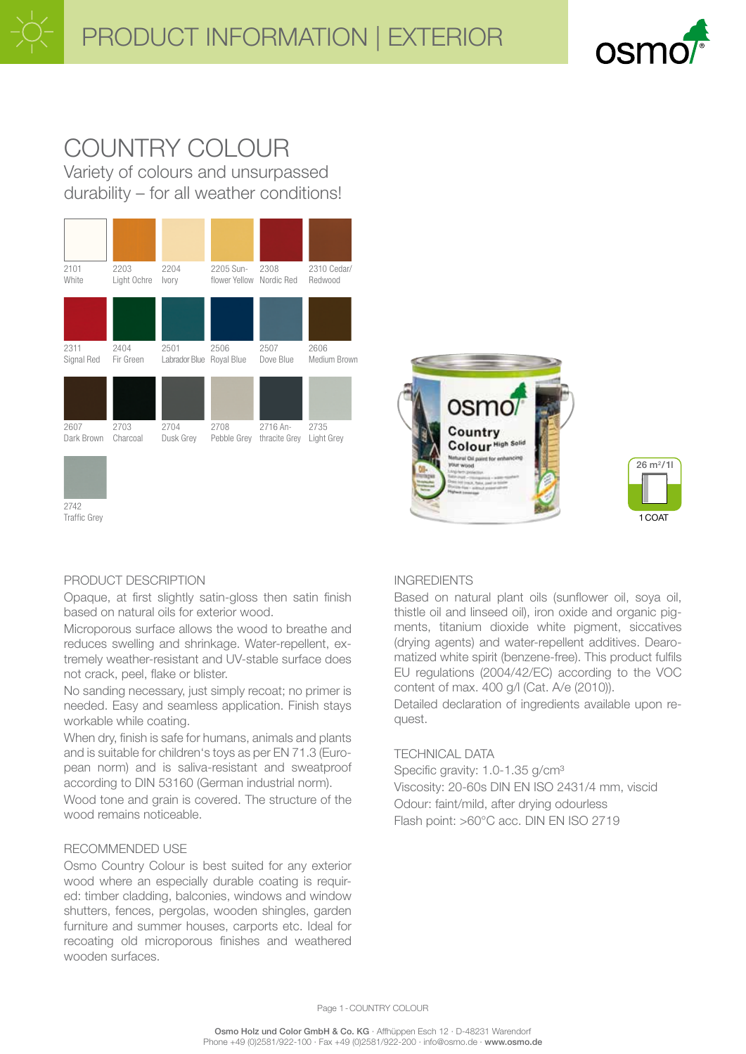

# COUNTRY COLOUR Variety of colours and unsurpassed

durability – for all weather conditions!







# PRODUCT DESCRIPTION

2742 Traffic Grey

Opaque, at first slightly satin-gloss then satin finish based on natural oils for exterior wood.

Microporous surface allows the wood to breathe and reduces swelling and shrinkage. Water-repellent, extremely weather-resistant and UV-stable surface does not crack, peel, flake or blister.

No sanding necessary, just simply recoat; no primer is needed. Easy and seamless application. Finish stays workable while coating.

When dry, finish is safe for humans, animals and plants and is suitable for children's toys as per EN 71.3 (European norm) and is saliva-resistant and sweatproof according to DIN 53160 (German industrial norm).

Wood tone and grain is covered. The structure of the wood remains noticeable.

## RECOMMENDED USE

Osmo Country Colour is best suited for any exterior wood where an especially durable coating is required: timber cladding, balconies, windows and window shutters, fences, pergolas, wooden shingles, garden furniture and summer houses, carports etc. Ideal for recoating old microporous finishes and weathered wooden surfaces.

## INGREDIENTS

Based on natural plant oils (sunflower oil, soya oil, thistle oil and linseed oil), iron oxide and organic pigments, titanium dioxide white pigment, siccatives (drying agents) and water-repellent additives. Dearomatized white spirit (benzene-free). This product fulfils EU regulations (2004/42/EC) according to the VOC content of max. 400 g/l (Cat. A/e (2010)).

Detailed declaration of ingredients available upon request.

## TECHNICAL DATA

Specific gravity: 1.0-1.35 g/cm<sup>3</sup> Viscosity: 20-60s DIN EN ISO 2431/4 mm, viscid Odour: faint/mild, after drying odourless Flash point: >60°C acc. DIN EN ISO 2719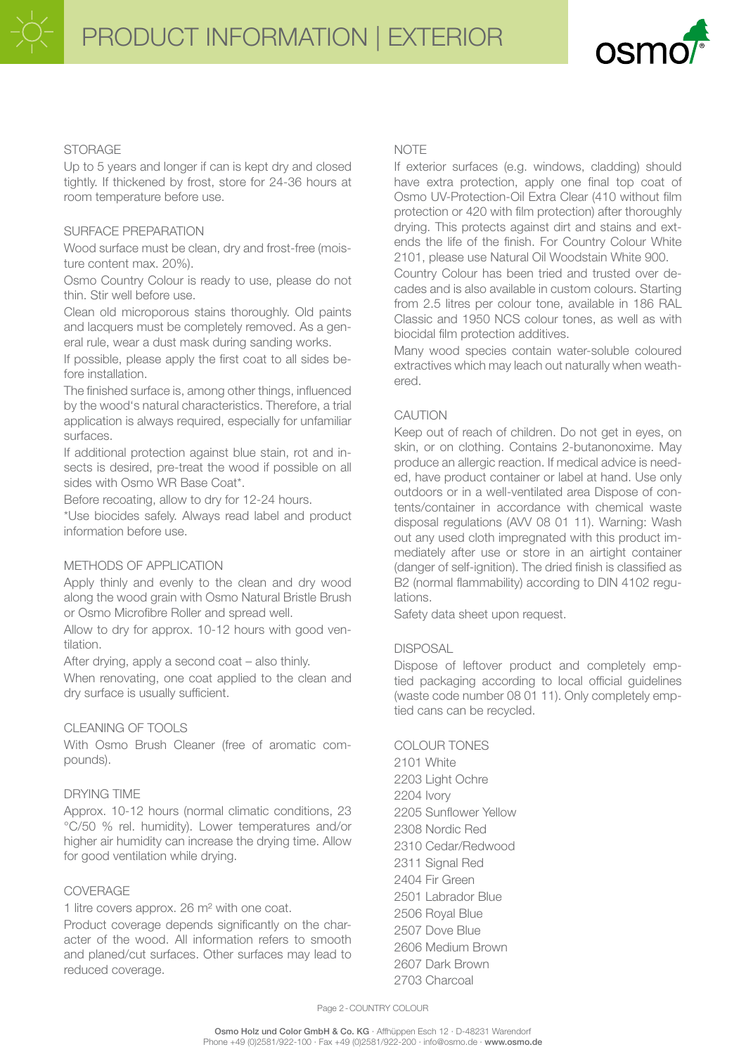

## STORAGE

Up to 5 years and longer if can is kept dry and closed tightly. If thickened by frost, store for 24-36 hours at room temperature before use.

## SURFACE PREPARATION

Wood surface must be clean, dry and frost-free (moisture content max. 20%).

Osmo Country Colour is ready to use, please do not thin. Stir well before use.

Clean old microporous stains thoroughly. Old paints and lacquers must be completely removed. As a general rule, wear a dust mask during sanding works.

If possible, please apply the first coat to all sides before installation.

The finished surface is, among other things, influenced by the wood's natural characteristics. Therefore, a trial application is always required, especially for unfamiliar surfaces.

If additional protection against blue stain, rot and insects is desired, pre-treat the wood if possible on all sides with Osmo WR Base Coat\*.

Before recoating, allow to dry for 12-24 hours.

\*Use biocides safely. Always read label and product information before use.

# METHODS OF APPLICATION

Apply thinly and evenly to the clean and dry wood along the wood grain with Osmo Natural Bristle Brush or Osmo Microfibre Roller and spread well.

Allow to dry for approx. 10-12 hours with good ventilation.

After drying, apply a second coat – also thinly.

When renovating, one coat applied to the clean and dry surface is usually sufficient.

# CLEANING OF TOOLS

With Osmo Brush Cleaner (free of aromatic compounds).

## DRYING TIME

Approx. 10-12 hours (normal climatic conditions, 23 °C/50 % rel. humidity). Lower temperatures and/or higher air humidity can increase the drying time. Allow for good ventilation while drying.

## COVERAGE

1 litre covers approx. 26 m² with one coat.

Product coverage depends significantly on the character of the wood. All information refers to smooth and planed/cut surfaces. Other surfaces may lead to reduced coverage.

## **NOTE**

If exterior surfaces (e.g. windows, cladding) should have extra protection, apply one final top coat of Osmo UV-Protection-Oil Extra Clear (410 without film protection or 420 with film protection) after thoroughly drying. This protects against dirt and stains and extends the life of the finish. For Country Colour White 2101, please use Natural Oil Woodstain White 900.

Country Colour has been tried and trusted over decades and is also available in custom colours. Starting from 2.5 litres per colour tone, available in 186 RAL Classic and 1950 NCS colour tones, as well as with biocidal film protection additives.

Many wood species contain water-soluble coloured extractives which may leach out naturally when weathered.

# CAUTION

Keep out of reach of children. Do not get in eyes, on skin, or on clothing. Contains 2-butanonoxime. May produce an allergic reaction. If medical advice is needed, have product container or label at hand. Use only outdoors or in a well-ventilated area Dispose of contents/container in accordance with chemical waste disposal regulations (AVV 08 01 11). Warning: Wash out any used cloth impregnated with this product immediately after use or store in an airtight container (danger of self-ignition). The dried finish is classified as B2 (normal flammability) according to DIN 4102 regulations.

Safety data sheet upon request.

## **DISPOSAL**

Dispose of leftover product and completely emptied packaging according to local official guidelines (waste code number 08 01 11). Only completely emptied cans can be recycled.

## COLOUR TONES

2101 White 2203 Light Ochre 2204 Ivory 2205 Sunflower Yellow 2308 Nordic Red 2310 Cedar/Redwood 2311 Signal Red 2404 Fir Green 2501 Labrador Blue 2506 Royal Blue 2507 Dove Blue 2606 Medium Brown 2607 Dark Brown 2703 Charcoal

Page 2-COUNTRY COLOUR